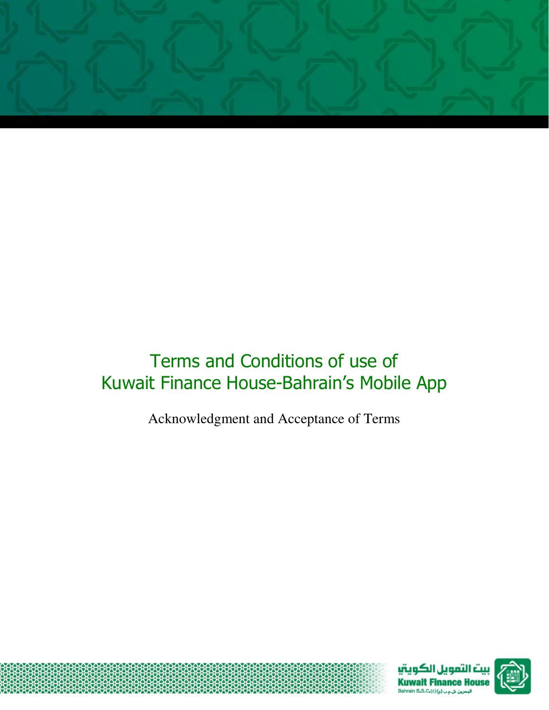

# Terms and Conditions of use of Kuwait Finance House-Bahrain's Mobile App

Acknowledgment and Acceptance of Terms



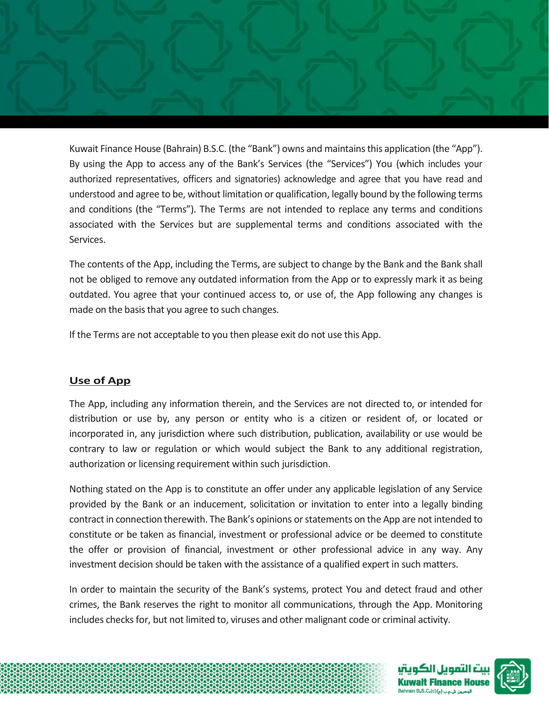

Kuwait Finance House (Bahrain) B.S.C. (the "Bank") owns and maintains this application (the "App"). By using the App to access any of the Bank's Services (the "Services") You (which includes your authorized representatives, officers and signatories) acknowledge and agree that you have read and understood and agree to be, without limitation or qualification, legally bound by the following terms and conditions (the "Terms"). The Terms are not intended to replace any terms and conditions associated with the Services but are supplemental terms and conditions associated with the Services.

The contents of the App, including the Terms, are subject to change by the Bank and the Bank shall not be obliged to remove any outdated information from the App or to expressly mark it as being outdated. You agree that your continued access to, or use of, the App following any changes is made on the basis that you agree to such changes.

If the Terms are not acceptable to you then please exit do not use this App.

# **Use of App**

The App, including any information therein, and the Services are not directed to, or intended for distribution or use by, any person or entity who is a citizen or resident of, or located or incorporated in, any jurisdiction where such distribution, publication, availability or use would be contrary to law or regulation or which would subject the Bank to any additional registration, authorization or licensing requirement within such jurisdiction.

Nothing stated on the App is to constitute an offer under any applicable legislation of any Service provided by the Bank or an inducement, solicitation or invitation to enter into a legally binding contract in connection therewith. The Bank's opinions or statements on the App are not intended to constitute or be taken as financial, investment or professional advice or be deemed to constitute the offer or provision of financial, investment or other professional advice in any way. Any investment decision should be taken with the assistance of a qualified expert in such matters.

In order to maintain the security of the Bank's systems, protect You and detect fraud and other crimes, the Bank reserves the right to monitor all communications, through the App. Monitoring includes checks for, but not limited to, viruses and other malignant code or criminal activity.



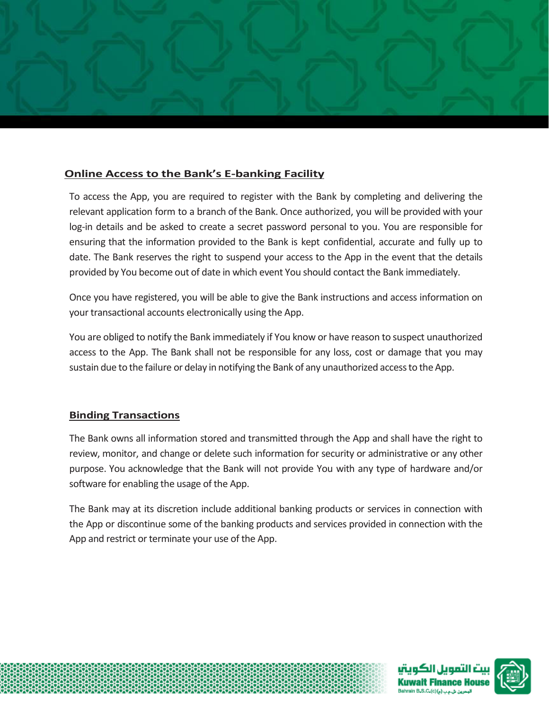

# **Online Access to the Bank's E-banking Facility**

To access the App, you are required to register with the Bank by completing and delivering the relevant application form to a branch of the Bank. Once authorized, you will be provided with your log-in details and be asked to create a secret password personal to you. You are responsible for ensuring that the information provided to the Bank is kept confidential, accurate and fully up to date. The Bank reserves the right to suspend your access to the App in the event that the details provided by You become out of date in which event You should contact the Bank immediately.

Once you have registered, you will be able to give the Bank instructions and access information on your transactional accounts electronically using the App.

You are obliged to notify the Bank immediately if You know or have reason to suspect unauthorized access to the App. The Bank shall not be responsible for any loss, cost or damage that you may sustain due to the failure or delay in notifying the Bank of any unauthorized access to the App.

# **Binding Transactions**

The Bank owns all information stored and transmitted through the App and shall have the right to review, monitor, and change or delete such information for security or administrative or any other purpose. You acknowledge that the Bank will not provide You with any type of hardware and/or software for enabling the usage of the App.

The Bank may at its discretion include additional banking products or services in connection with the App or discontinue some of the banking products and services provided in connection with the App and restrict or terminate your use of the App.



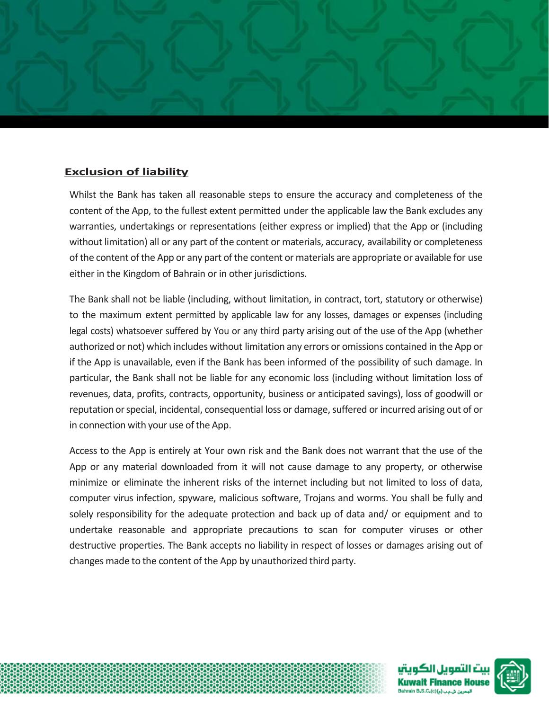

# **Exclusion of liability**

Whilst the Bank has taken all reasonable steps to ensure the accuracy and completeness of the content of the App, to the fullest extent permitted under the applicable law the Bank excludes any warranties, undertakings or representations (either express or implied) that the App or (including without limitation) all or any part of the content or materials, accuracy, availability or completeness of the content of the App or any part of the content or materials are appropriate or available for use either in the Kingdom of Bahrain or in other jurisdictions.

The Bank shall not be liable (including, without limitation, in contract, tort, statutory or otherwise) to the maximum extent permitted by applicable law for any losses, damages or expenses (including legal costs) whatsoever suffered by You or any third party arising out of the use of the App (whether authorized or not) which includes without limitation any errors or omissions contained in the App or if the App is unavailable, even if the Bank has been informed of the possibility of such damage. In particular, the Bank shall not be liable for any economic loss (including without limitation loss of revenues, data, profits, contracts, opportunity, business or anticipated savings), loss of goodwill or reputation or special, incidental, consequential loss or damage, suffered or incurred arising out of or in connection with your use of the App.

Access to the App is entirely at Your own risk and the Bank does not warrant that the use of the App or any material downloaded from it will not cause damage to any property, or otherwise minimize or eliminate the inherent risks of the internet including but not limited to loss of data, computer virus infection, spyware, malicious software, Trojans and worms. You shall be fully and solely responsibility for the adequate protection and back up of data and/ or equipment and to undertake reasonable and appropriate precautions to scan for computer viruses or other destructive properties. The Bank accepts no liability in respect of losses or damages arising out of changes made to the content of the App by unauthorized third party.

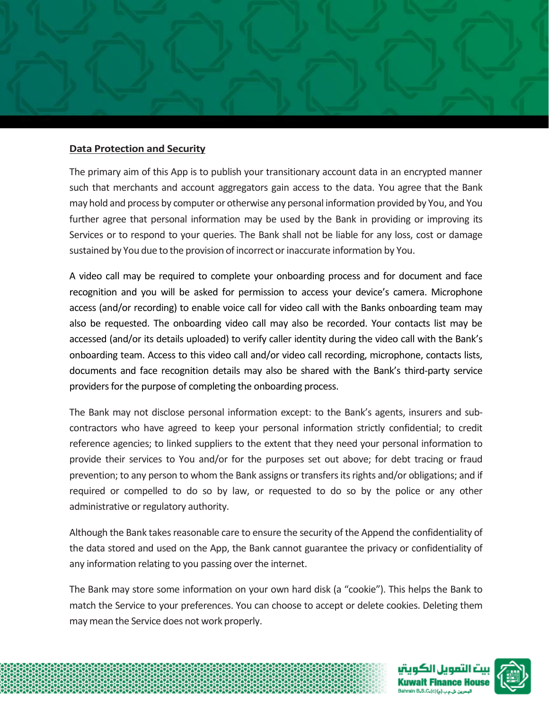

### **Data Protection and Security**

The primary aim of this App is to publish your transitionary account data in an encrypted manner such that merchants and account aggregators gain access to the data. You agree that the Bank may hold and process by computer or otherwise any personal information provided by You, and You further agree that personal information may be used by the Bank in providing or improving its Services or to respond to your queries. The Bank shall not be liable for any loss, cost or damage sustained by You due to the provision of incorrect or inaccurate information by You.

A video call may be required to complete your onboarding process and for document and face recognition and you will be asked for permission to access your device's camera. Microphone access (and/or recording) to enable voice call for video call with the Banks onboarding team may also be requested. The onboarding video call may also be recorded. Your contacts list may be accessed (and/or its details uploaded) to verify caller identity during the video call with the Bank's onboarding team. Access to this video call and/or video call recording, microphone, contacts lists, documents and face recognition details may also be shared with the Bank's third-party service providers for the purpose of completing the onboarding process.

The Bank may not disclose personal information except: to the Bank's agents, insurers and subcontractors who have agreed to keep your personal information strictly confidential; to credit reference agencies; to linked suppliers to the extent that they need your personal information to provide their services to You and/or for the purposes set out above; for debt tracing or fraud prevention; to any person to whom the Bank assigns or transfers its rights and/or obligations; and if required or compelled to do so by law, or requested to do so by the police or any other administrative or regulatory authority.

Although the Bank takes reasonable care to ensure the security of the Append the confidentiality of the data stored and used on the App, the Bank cannot guarantee the privacy or confidentiality of any information relating to you passing over the internet.

The Bank may store some information on your own hard disk (a "cookie"). This helps the Bank to match the Service to your preferences. You can choose to accept or delete cookies. Deleting them may mean the Service does not work properly.

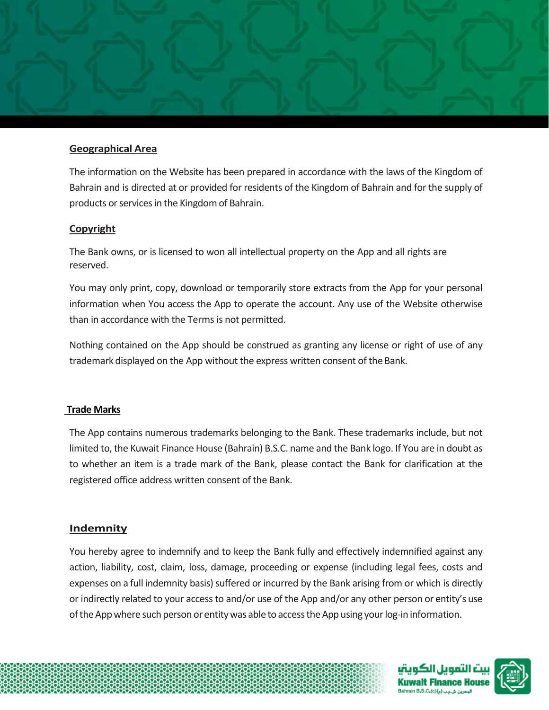

# **Geographical Area**

The information on the Website has been prepared in accordance with the laws of the Kingdom of Bahrain and is directed at or provided for residents of the Kingdom of Bahrain and for the supply of products or services in the Kingdom of Bahrain.

#### **Copyright**

The Bank owns, or is licensed to won all intellectual property on the App and all rights are reserved.

You may only print, copy, download or temporarily store extracts from the App for your personal information when You access the App to operate the account. Any use of the Website otherwise than in accordance with the Terms is not permitted.

Nothing contained on the App should be construed as granting any license or right of use of any trademark displayed on the App without the express written consent of the Bank.

# **Trade Marks**

The App contains numerous trademarks belonging to the Bank. These trademarks include, but not limited to, the Kuwait Finance House (Bahrain) B.S.C. name and the Bank logo. If You are in doubt as to whether an item is a trade mark of the Bank, please contact the Bank for clarification at the registered office address written consent of the Bank.

#### **Indemnity**

You hereby agree to indemnify and to keep the Bank fully and effectively indemnified against any action, liability, cost, claim, loss, damage, proceeding or expense (including legal fees, costs and expenses on a full indemnity basis) suffered or incurred by the Bank arising from or which is directly or indirectly related to your access to and/or use of the App and/or any other person or entity's use of the App where such person or entity was able to access the App using your log-in information.

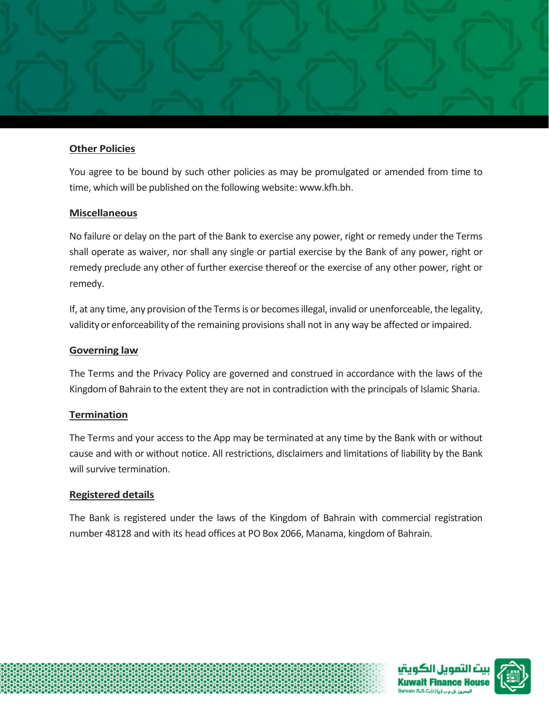

# **Other Policies**

You agree to be bound by such other policies as may be promulgated or amended from time to time, which will be published on the following website: [www.kfh.bh.](http://www.kfh.bh/)

# **Miscellaneous**

No failure or delay on the part of the Bank to exercise any power, right or remedy under the Terms shall operate as waiver, nor shall any single or partial exercise by the Bank of any power, right or remedy preclude any other of further exercise thereof or the exercise of any other power, right or remedy.

If, at any time, any provision of the Terms is or becomes illegal, invalid or unenforceable, the legality, validity or enforceability of the remaining provisions shall not in any way be affected or impaired.

# **Governing law**

The Terms and the Privacy Policy are governed and construed in accordance with the laws of the Kingdom of Bahrain to the extent they are not in contradiction with the principals of Islamic Sharia.

# **Termination**

The Terms and your access to the App may be terminated at any time by the Bank with or without cause and with or without notice. All restrictions, disclaimers and limitations of liability by the Bank will survive termination.

# **Registered details**

The Bank is registered under the laws of the Kingdom of Bahrain with commercial registration number 48128 and with its head offices at PO Box 2066, Manama, kingdom of Bahrain.

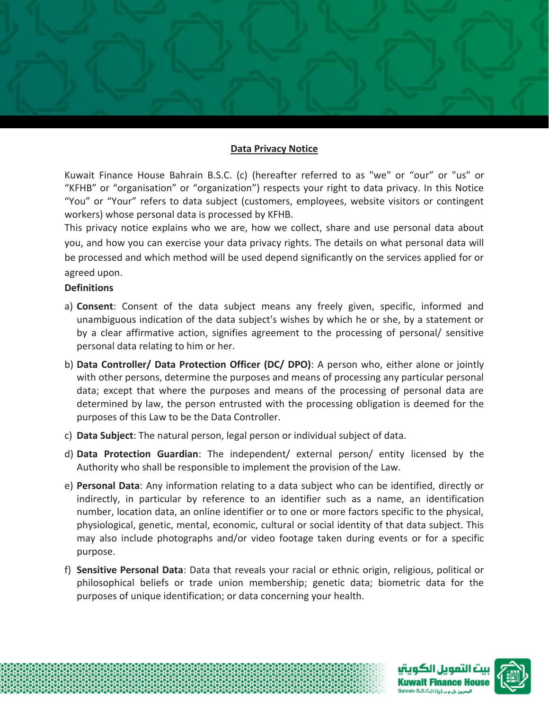# **Data Privacy Notice**

Kuwait Finance House Bahrain B.S.C. (c) (hereafter referred to as "we" or "our" or "us" or "KFHB" or "organisation" or "organization") respects your right to data privacy. In this Notice "You" or "Your" refers to data subject (customers, employees, website visitors or contingent workers) whose personal data is processed by KFHB.

This privacy notice explains who we are, how we collect, share and use personal data about you, and how you can exercise your data privacy rights. The details on what personal data will be processed and which method will be used depend significantly on the services applied for or agreed upon.

#### **Definitions**

- a) **Consent**: Consent of the data subject means any freely given, specific, informed and unambiguous indication of the data subject's wishes by which he or she, by a statement or by a clear affirmative action, signifies agreement to the processing of personal/ sensitive personal data relating to him or her.
- b) **Data Controller/ Data Protection Officer (DC/ DPO)**: A person who, either alone or jointly with other persons, determine the purposes and means of processing any particular personal data; except that where the purposes and means of the processing of personal data are determined by law, the person entrusted with the processing obligation is deemed for the purposes of this Law to be the Data Controller.
- c) **Data Subject**: The natural person, legal person or individual subject of data.
- d) **Data Protection Guardian**: The independent/ external person/ entity licensed by the Authority who shall be responsible to implement the provision of the Law.
- e) **Personal Data**: Any information relating to a data subject who can be identified, directly or indirectly, in particular by reference to an identifier such as a name, an identification number, location data, an online identifier or to one or more factors specific to the physical, physiological, genetic, mental, economic, cultural or social identity of that data subject. This may also include photographs and/or video footage taken during events or for a specific purpose.
- f) **Sensitive Personal Data**: Data that reveals your racial or ethnic origin, religious, political or philosophical beliefs or trade union membership; genetic data; biometric data for the purposes of unique identification; or data concerning your health.



حرین شاعب (م)(c) ا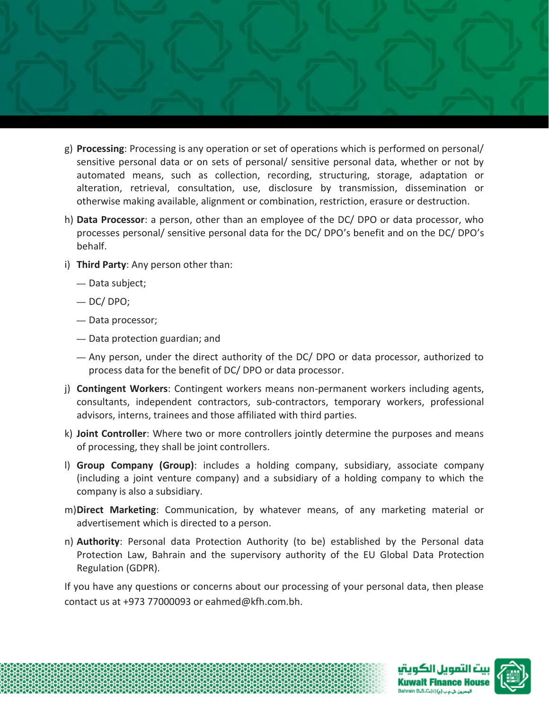

- g) **Processing**: Processing is any operation or set of operations which is performed on personal/ sensitive personal data or on sets of personal/ sensitive personal data, whether or not by automated means, such as collection, recording, structuring, storage, adaptation or alteration, retrieval, consultation, use, disclosure by transmission, dissemination or otherwise making available, alignment or combination, restriction, erasure or destruction.
- h) **Data Processor**: a person, other than an employee of the DC/ DPO or data processor, who processes personal/ sensitive personal data for the DC/ DPO's benefit and on the DC/ DPO's behalf.
- i) **Third Party**: Any person other than:
	- Data subject;
	- $-$  DC/ DPO;
	- Data processor;
	- Data protection guardian; and
	- Any person, under the direct authority of the DC/ DPO or data processor, authorized to process data for the benefit of DC/ DPO or data processor.
- j) **Contingent Workers**: Contingent workers means non-permanent workers including agents, consultants, independent contractors, sub-contractors, temporary workers, professional advisors, interns, trainees and those affiliated with third parties.
- k) **Joint Controller**: Where two or more controllers jointly determine the purposes and means of processing, they shall be joint controllers.
- l) **Group Company (Group)**: includes a holding company, subsidiary, associate company (including a joint venture company) and a subsidiary of a holding company to which the company is also a subsidiary.
- m)**Direct Marketing**: Communication, by whatever means, of any marketing material or advertisement which is directed to a person.
- n) **Authority**: Personal data Protection Authority (to be) established by the Personal data Protection Law, Bahrain and the supervisory authority of the EU Global Data Protection Regulation (GDPR).

If you have any questions or concerns about our processing of your personal data, then please contact us at +973 77000093 or eahmed@kfh.com.bh.

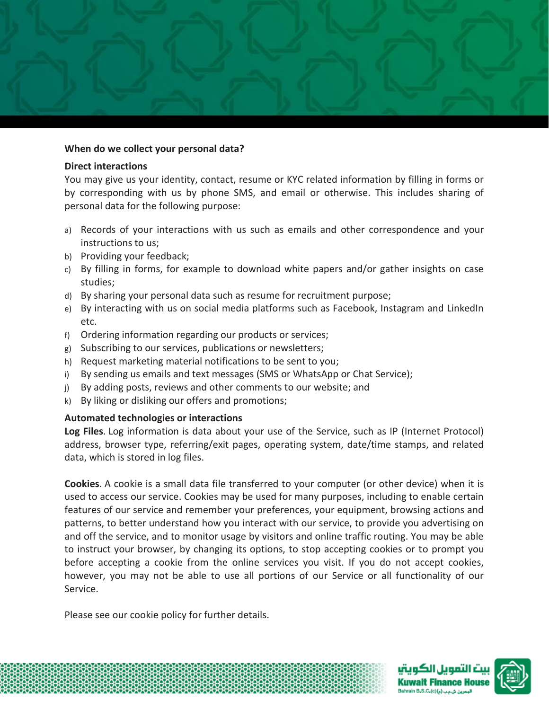

#### **When do we collect your personal data?**

#### **Direct interactions**

You may give us your identity, contact, resume or KYC related information by filling in forms or by corresponding with us by phone SMS, and email or otherwise. This includes sharing of personal data for the following purpose:

- a) Records of your interactions with us such as emails and other correspondence and your instructions to us;
- b) Providing your feedback;
- c) By filling in forms, for example to download white papers and/or gather insights on case studies;
- d) By sharing your personal data such as resume for recruitment purpose;
- e) By interacting with us on social media platforms such as Facebook, Instagram and LinkedIn etc.
- f) Ordering information regarding our products or services;
- g) Subscribing to our services, publications or newsletters;
- h) Request marketing material notifications to be sent to you;
- i) By sending us emails and text messages (SMS or WhatsApp or Chat Service);
- j) By adding posts, reviews and other comments to our website; and
- k) By liking or disliking our offers and promotions;

#### **Automated technologies or interactions**

**Log Files**. Log information is data about your use of the Service, such as IP (Internet Protocol) address, browser type, referring/exit pages, operating system, date/time stamps, and related data, which is stored in log files.

**Cookies**. A cookie is a small data file transferred to your computer (or other device) when it is used to access our service. Cookies may be used for many purposes, including to enable certain features of our service and remember your preferences, your equipment, browsing actions and patterns, to better understand how you interact with our service, to provide you advertising on and off the service, and to monitor usage by visitors and online traffic routing. You may be able to instruct your browser, by changing its options, to stop accepting cookies or to prompt you before accepting a cookie from the online services you visit. If you do not accept cookies, however, you may not be able to use all portions of our Service or all functionality of our Service.

Please see our cookie policy for further details.

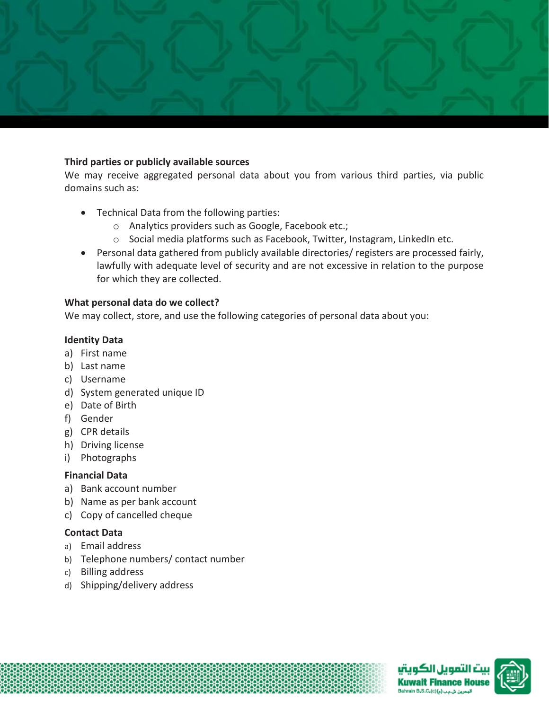

#### **Third parties or publicly available sources**

We may receive aggregated personal data about you from various third parties, via public domains such as:

- Technical Data from the following parties:
	- o Analytics providers such as Google, Facebook etc.;
	- o Social media platforms such as Facebook, Twitter, Instagram, LinkedIn etc.
- Personal data gathered from publicly available directories/ registers are processed fairly, lawfully with adequate level of security and are not excessive in relation to the purpose for which they are collected.

#### **What personal data do we collect?**

We may collect, store, and use the following categories of personal data about you:

#### **Identity Data**

- a) First name
- b) Last name
- c) Username
- d) System generated unique ID
- e) Date of Birth
- f) Gender
- g) CPR details
- h) Driving license
- i) Photographs

#### **Financial Data**

- a) Bank account number
- b) Name as per bank account
- c) Copy of cancelled cheque

#### **Contact Data**

- a) Email address
- b) Telephone numbers/ contact number
- c) Billing address
- d) Shipping/delivery address

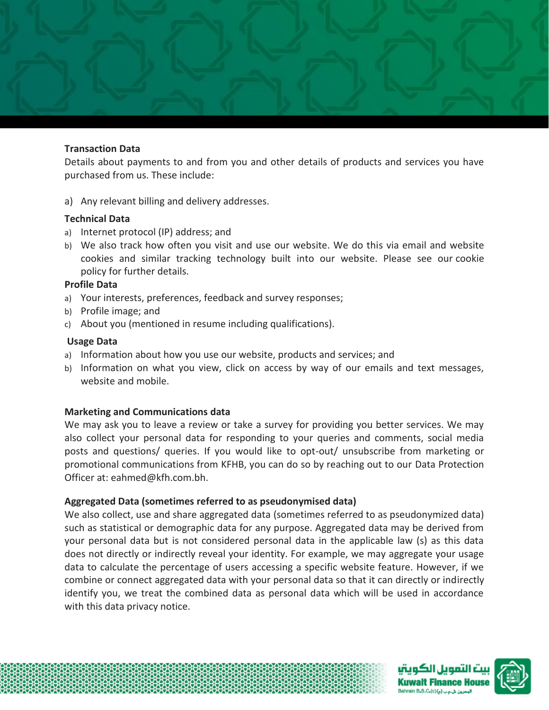

#### **Transaction Data**

Details about payments to and from you and other details of products and services you have purchased from us. These include:

a) Any relevant billing and delivery addresses.

#### **Technical Data**

- a) Internet protocol (IP) address; and
- b) We also track how often you visit and use our website. We do this via email and website cookies and similar tracking technology built into our website. Please see our cookie policy for further details.

#### **Profile Data**

- a) Your interests, preferences, feedback and survey responses;
- b) Profile image; and
- c) About you (mentioned in resume including qualifications).

#### **Usage Data**

- a) Information about how you use our website, products and services; and
- b) Information on what you view, click on access by way of our emails and text messages, website and mobile.

#### **Marketing and Communications data**

We may ask you to leave a review or take a survey for providing you better services. We may also collect your personal data for responding to your queries and comments, social media posts and questions/ queries. If you would like to opt-out/ unsubscribe from marketing or promotional communications from KFHB, you can do so by reaching out to our Data Protection Officer at: eahmed@kfh.com.bh.

#### **Aggregated Data (sometimes referred to as pseudonymised data)**

We also collect, use and share aggregated data (sometimes referred to as pseudonymized data) such as statistical or demographic data for any purpose. Aggregated data may be derived from your personal data but is not considered personal data in the applicable law (s) as this data does not directly or indirectly reveal your identity. For example, we may aggregate your usage data to calculate the percentage of users accessing a specific website feature. However, if we combine or connect aggregated data with your personal data so that it can directly or indirectly identify you, we treat the combined data as personal data which will be used in accordance with this data privacy notice.

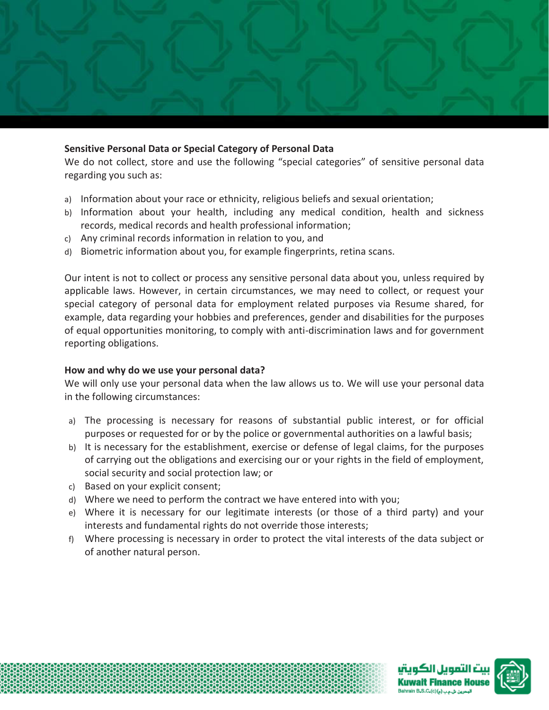

#### **Sensitive Personal Data or Special Category of Personal Data**

We do not collect, store and use the following "special categories" of sensitive personal data regarding you such as:

- a) Information about your race or ethnicity, religious beliefs and sexual orientation;
- b) Information about your health, including any medical condition, health and sickness records, medical records and health professional information;
- c) Any criminal records information in relation to you, and
- d) Biometric information about you, for example fingerprints, retina scans.

Our intent is not to collect or process any sensitive personal data about you, unless required by applicable laws. However, in certain circumstances, we may need to collect, or request your special category of personal data for employment related purposes via Resume shared, for example, data regarding your hobbies and preferences, gender and disabilities for the purposes of equal opportunities monitoring, to comply with anti-discrimination laws and for government reporting obligations.

#### **How and why do we use your personal data?**

We will only use your personal data when the law allows us to. We will use your personal data in the following circumstances:

- a) The processing is necessary for reasons of substantial public interest, or for official purposes or requested for or by the police or governmental authorities on a lawful basis;
- b) It is necessary for the establishment, exercise or defense of legal claims, for the purposes of carrying out the obligations and exercising our or your rights in the field of employment, social security and social protection law; or
- c) Based on your explicit consent;
- d) Where we need to perform the contract we have entered into with you;
- e) Where it is necessary for our legitimate interests (or those of a third party) and your interests and fundamental rights do not override those interests;
- f) Where processing is necessary in order to protect the vital interests of the data subject or of another natural person.

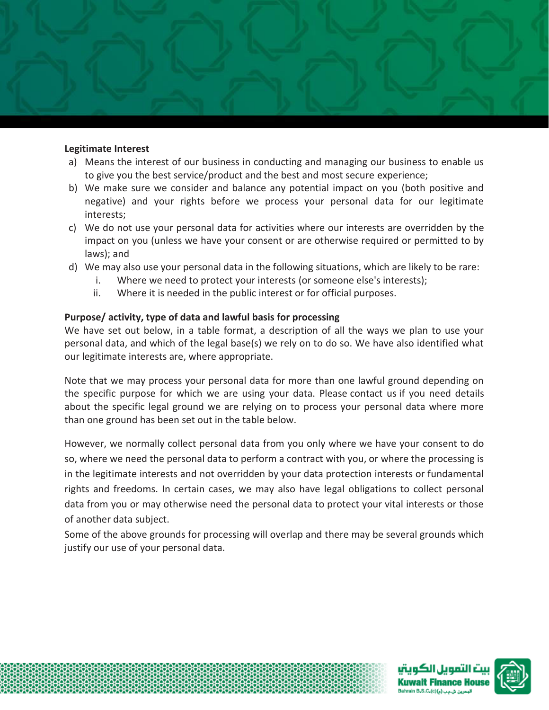

#### **Legitimate Interest**

- a) Means the interest of our business in conducting and managing our business to enable us to give you the best service/product and the best and most secure experience;
- b) We make sure we consider and balance any potential impact on you (both positive and negative) and your rights before we process your personal data for our legitimate interests;
- c) We do not use your personal data for activities where our interests are overridden by the impact on you (unless we have your consent or are otherwise required or permitted to by laws); and
- d) We may also use your personal data in the following situations, which are likely to be rare:
	- i. Where we need to protect your interests (or someone else's interests);
	- ii. Where it is needed in the public interest or for official purposes.

#### **Purpose/ activity, type of data and lawful basis for processing**

We have set out below, in a table format, a description of all the ways we plan to use your personal data, and which of the legal base(s) we rely on to do so. We have also identified what our legitimate interests are, where appropriate.

Note that we may process your personal data for more than one lawful ground depending on the specific purpose for which we are using your data. Please contact us if you need details about the specific legal ground we are relying on to process your personal data where more than one ground has been set out in the table below.

However, we normally collect personal data from you only where we have your consent to do so, where we need the personal data to perform a contract with you, or where the processing is in the legitimate interests and not overridden by your data protection interests or fundamental rights and freedoms. In certain cases, we may also have legal obligations to collect personal data from you or may otherwise need the personal data to protect your vital interests or those of another data subject.

Some of the above grounds for processing will overlap and there may be several grounds which justify our use of your personal data.



.<br>دون شاعب (م)(c) B.S.C.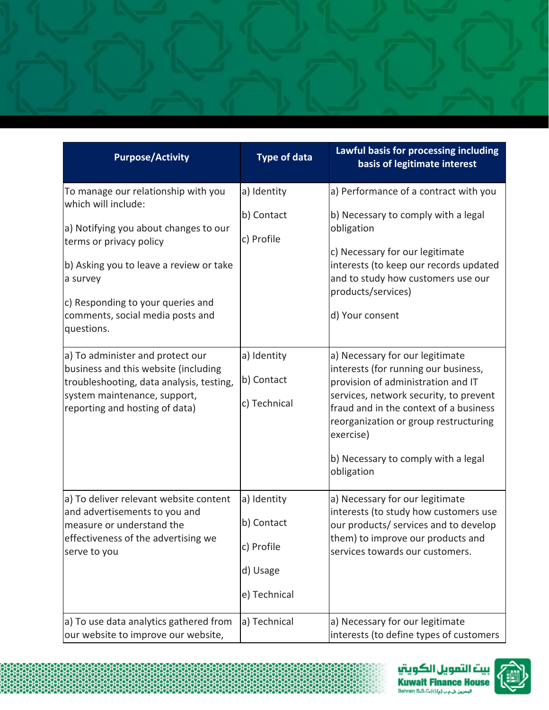| <b>Purpose/Activity</b>                                                                                                                                                                                        | <b>Type of data</b>                                                 | Lawful basis for processing including<br>basis of legitimate interest                                                                                                                                                                                                                                        |
|----------------------------------------------------------------------------------------------------------------------------------------------------------------------------------------------------------------|---------------------------------------------------------------------|--------------------------------------------------------------------------------------------------------------------------------------------------------------------------------------------------------------------------------------------------------------------------------------------------------------|
| To manage our relationship with you<br>which will include:                                                                                                                                                     | a) Identity                                                         | a) Performance of a contract with you                                                                                                                                                                                                                                                                        |
| a) Notifying you about changes to our<br>terms or privacy policy<br>b) Asking you to leave a review or take<br>a survey<br>c) Responding to your queries and<br>comments, social media posts and<br>questions. | b) Contact<br>c) Profile                                            | b) Necessary to comply with a legal<br>obligation<br>c) Necessary for our legitimate<br>interests (to keep our records updated<br>and to study how customers use our<br>products/services)<br>d) Your consent                                                                                                |
| a) To administer and protect our<br>business and this website (including<br>troubleshooting, data analysis, testing,<br>system maintenance, support,<br>reporting and hosting of data)                         | a) Identity<br>b) Contact<br>c) Technical                           | a) Necessary for our legitimate<br>interests (for running our business,<br>provision of administration and IT<br>services, network security, to prevent<br>fraud and in the context of a business<br>reorganization or group restructuring<br>exercise)<br>b) Necessary to comply with a legal<br>obligation |
| a) To deliver relevant website content<br>and advertisements to you and<br>measure or understand the<br>effectiveness of the advertising we<br>serve to you                                                    | a) Identity<br>b) Contact<br>c) Profile<br>d) Usage<br>e) Technical | a) Necessary for our legitimate<br>interests (to study how customers use<br>our products/ services and to develop<br>them) to improve our products and<br>services towards our customers.                                                                                                                    |
| a) To use data analytics gathered from<br>our website to improve our website,                                                                                                                                  | a) Technical                                                        | a) Necessary for our legitimate<br>interests (to define types of customers                                                                                                                                                                                                                                   |

statistica de contra contra contra contra contra contra contra contra contra contra contra contra contra contr<br>Se contra contra contra contra contra contra contra contra contra contra contra contra contra contra contra co<br>

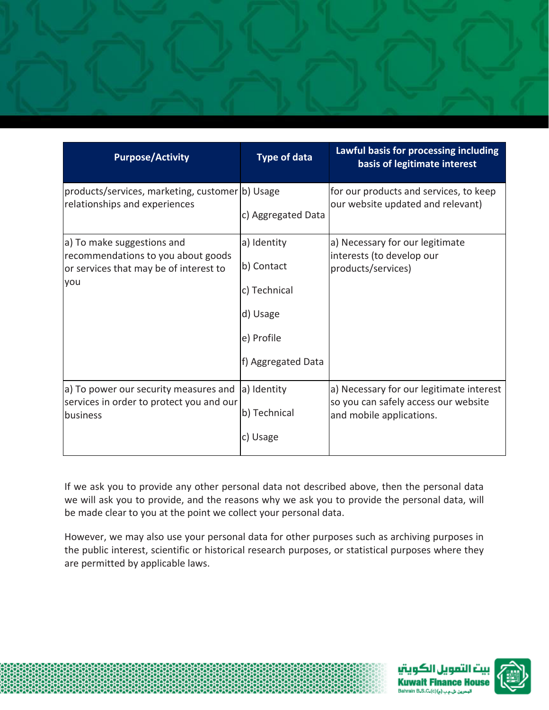

| <b>Purpose/Activity</b>                                                                                           | <b>Type of data</b>                                                                       | Lawful basis for processing including<br>basis of legitimate interest                                        |
|-------------------------------------------------------------------------------------------------------------------|-------------------------------------------------------------------------------------------|--------------------------------------------------------------------------------------------------------------|
| products/services, marketing, customer b) Usage<br>relationships and experiences                                  | c) Aggregated Data                                                                        | for our products and services, to keep<br>our website updated and relevant)                                  |
| a) To make suggestions and<br>recommendations to you about goods<br>or services that may be of interest to<br>you | a) Identity<br>b) Contact<br>c) Technical<br>d) Usage<br>e) Profile<br>f) Aggregated Data | a) Necessary for our legitimate<br>interests (to develop our<br>products/services)                           |
| a) To power our security measures and<br>services in order to protect you and our<br>business                     | a) Identity<br>b) Technical<br>c) Usage                                                   | a) Necessary for our legitimate interest<br>so you can safely access our website<br>and mobile applications. |

If we ask you to provide any other personal data not described above, then the personal data we will ask you to provide, and the reasons why we ask you to provide the personal data, will be made clear to you at the point we collect your personal data.

However, we may also use your personal data for other purposes such as archiving purposes in the public interest, scientific or historical research purposes, or statistical purposes where they are permitted by applicable laws.



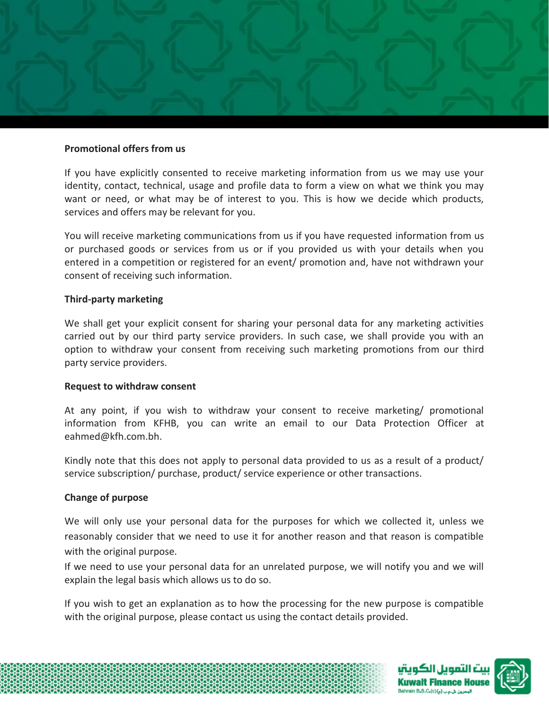

#### **Promotional offers from us**

If you have explicitly consented to receive marketing information from us we may use your identity, contact, technical, usage and profile data to form a view on what we think you may want or need, or what may be of interest to you. This is how we decide which products, services and offers may be relevant for you.

You will receive marketing communications from us if you have requested information from us or purchased goods or services from us or if you provided us with your details when you entered in a competition or registered for an event/ promotion and, have not withdrawn your consent of receiving such information.

#### **Third-party marketing**

We shall get your explicit consent for sharing your personal data for any marketing activities carried out by our third party service providers. In such case, we shall provide you with an option to withdraw your consent from receiving such marketing promotions from our third party service providers.

#### **Request to withdraw consent**

At any point, if you wish to withdraw your consent to receive marketing/ promotional information from KFHB, you can write an email to our Data Protection Officer at eahmed@kfh.com.bh.

Kindly note that this does not apply to personal data provided to us as a result of a product/ service subscription/ purchase, product/ service experience or other transactions.

#### **Change of purpose**

We will only use your personal data for the purposes for which we collected it, unless we reasonably consider that we need to use it for another reason and that reason is compatible with the original purpose.

If we need to use your personal data for an unrelated purpose, we will notify you and we will explain the legal basis which allows us to do so.

If you wish to get an explanation as to how the processing for the new purpose is compatible with the original purpose, please contact us using the contact details provided.

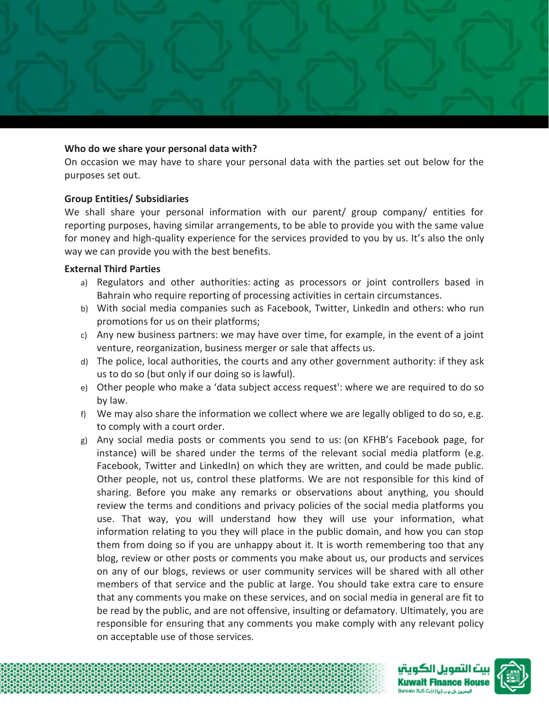

#### **Who do we share your personal data with?**

On occasion we may have to share your personal data with the parties set out below for the purposes set out.

#### **Group Entities/ Subsidiaries**

We shall share your personal information with our parent/ group company/ entities for reporting purposes, having similar arrangements, to be able to provide you with the same value for money and high-quality experience for the services provided to you by us. It's also the only way we can provide you with the best benefits.

#### **External Third Parties**

- a) Regulators and other authorities: acting as processors or joint controllers based in Bahrain who require reporting of processing activities in certain circumstances.
- b) With social media companies such as Facebook, Twitter, LinkedIn and others: who run promotions for us on their platforms;
- c) Any new business partners: we may have over time, for example, in the event of a joint venture, reorganization, business merger or sale that affects us.
- d) The police, local authorities, the courts and any other government authority: if they ask us to do so (but only if our doing so is lawful).
- e) Other people who make a 'data subject access request': where we are required to do so by law.
- f) We may also share the information we collect where we are legally obliged to do so, e.g. to comply with a court order.
- g) Any social media posts or comments you send to us: (on KFHB's Facebook page, for instance) will be shared under the terms of the relevant social media platform (e.g. Facebook, Twitter and LinkedIn) on which they are written, and could be made public. Other people, not us, control these platforms. We are not responsible for this kind of sharing. Before you make any remarks or observations about anything, you should review the terms and conditions and privacy policies of the social media platforms you use. That way, you will understand how they will use your information, what information relating to you they will place in the public domain, and how you can stop them from doing so if you are unhappy about it. It is worth remembering too that any blog, review or other posts or comments you make about us, our products and services on any of our blogs, reviews or user community services will be shared with all other members of that service and the public at large. You should take extra care to ensure that any comments you make on these services, and on social media in general are fit to be read by the public, and are not offensive, insulting or defamatory. Ultimately, you are responsible for ensuring that any comments you make comply with any relevant policy on acceptable use of those services.



ınn ill rü nce House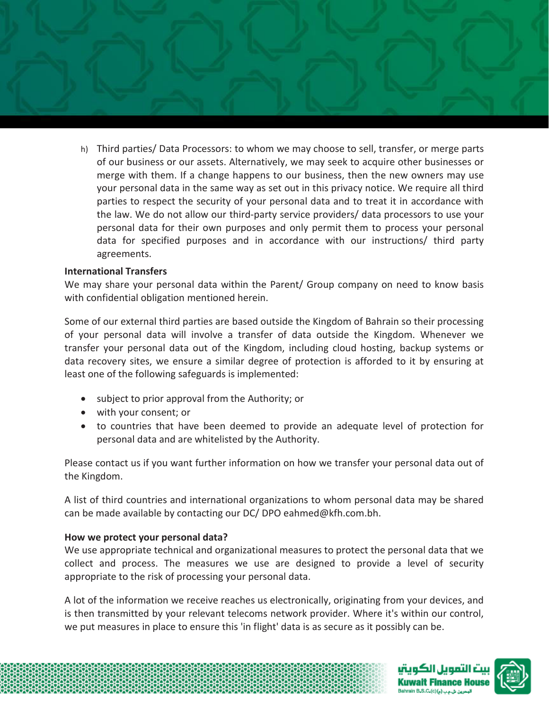

h) Third parties/ Data Processors: to whom we may choose to sell, transfer, or merge parts of our business or our assets. Alternatively, we may seek to acquire other businesses or merge with them. If a change happens to our business, then the new owners may use your personal data in the same way as set out in this privacy notice. We require all third parties to respect the security of your personal data and to treat it in accordance with the law. We do not allow our third-party service providers/ data processors to use your personal data for their own purposes and only permit them to process your personal data for specified purposes and in accordance with our instructions/ third party agreements.

## **International Transfers**

We may share your personal data within the Parent/ Group company on need to know basis with confidential obligation mentioned herein.

Some of our external third parties are based outside the Kingdom of Bahrain so their processing of your personal data will involve a transfer of data outside the Kingdom. Whenever we transfer your personal data out of the Kingdom, including cloud hosting, backup systems or data recovery sites, we ensure a similar degree of protection is afforded to it by ensuring at least one of the following safeguards is implemented:

- subject to prior approval from the Authority; or
- with your consent; or
- to countries that have been deemed to provide an adequate level of protection for personal data and are whitelisted by the Authority.

Please contact us if you want further information on how we transfer your personal data out of the Kingdom.

A list of third countries and international organizations to whom personal data may be shared can be made available by contacting our DC/ DPO eahmed@kfh.com.bh.

#### **How we protect your personal data?**

We use appropriate technical and organizational measures to protect the personal data that we collect and process. The measures we use are designed to provide a level of security appropriate to the risk of processing your personal data.

A lot of the information we receive reaches us electronically, originating from your devices, and is then transmitted by your relevant telecoms network provider. Where it's within our control, we put measures in place to ensure this 'in flight' data is as secure as it possibly can be.

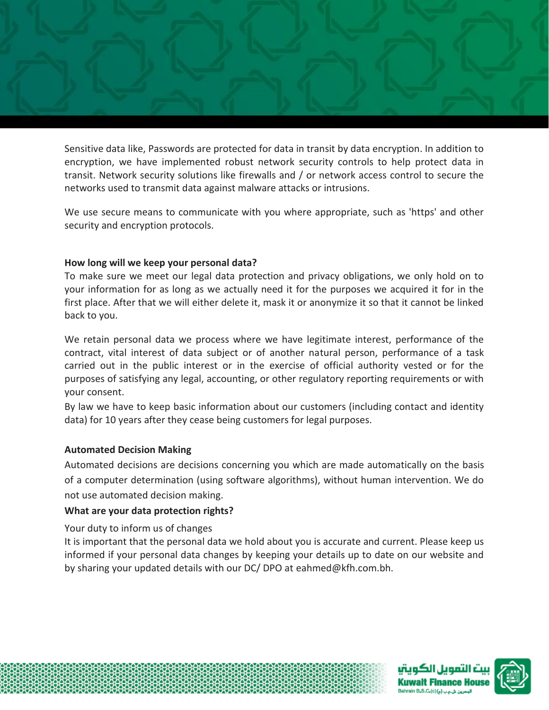

Sensitive data like, Passwords are protected for data in transit by data encryption. In addition to encryption, we have implemented robust network security controls to help protect data in transit. Network security solutions like firewalls and / or network access control to secure the networks used to transmit data against malware attacks or intrusions.

We use secure means to communicate with you where appropriate, such as 'https' and other security and encryption protocols.

#### **How long will we keep your personal data?**

To make sure we meet our legal data protection and privacy obligations, we only hold on to your information for as long as we actually need it for the purposes we acquired it for in the first place. After that we will either delete it, mask it or anonymize it so that it cannot be linked back to you.

We retain personal data we process where we have legitimate interest, performance of the contract, vital interest of data subject or of another natural person, performance of a task carried out in the public interest or in the exercise of official authority vested or for the purposes of satisfying any legal, accounting, or other regulatory reporting requirements or with your consent.

By law we have to keep basic information about our customers (including contact and identity data) for 10 years after they cease being customers for legal purposes.

# **Automated Decision Making**

Automated decisions are decisions concerning you which are made automatically on the basis of a computer determination (using software algorithms), without human intervention. We do not use automated decision making.

# **What are your data protection rights?**

Your duty to inform us of changes

It is important that the personal data we hold about you is accurate and current. Please keep us informed if your personal data changes by keeping your details up to date on our website and by sharing your updated details with our DC/ DPO at eahmed@kfh.com.bh.

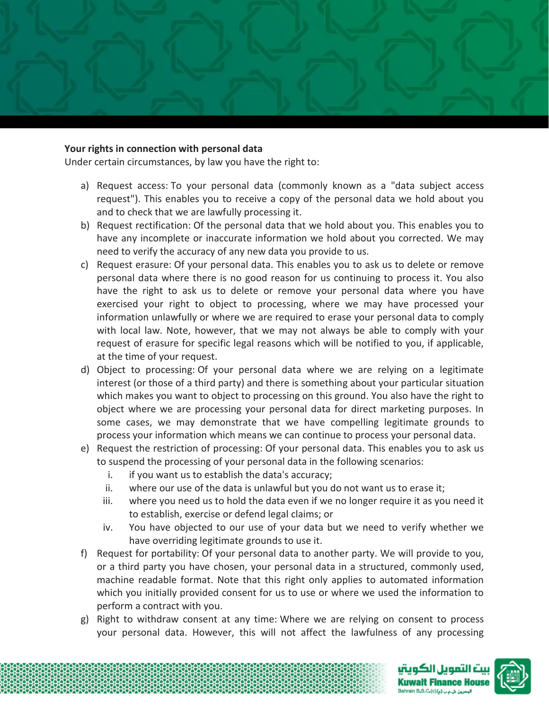

#### **Your rights in connection with personal data**

Under certain circumstances, by law you have the right to:

- a) Request access: To your personal data (commonly known as a "data subject access request"). This enables you to receive a copy of the personal data we hold about you and to check that we are lawfully processing it.
- b) Request rectification: Of the personal data that we hold about you. This enables you to have any incomplete or inaccurate information we hold about you corrected. We may need to verify the accuracy of any new data you provide to us.
- c) Request erasure: Of your personal data. This enables you to ask us to delete or remove personal data where there is no good reason for us continuing to process it. You also have the right to ask us to delete or remove your personal data where you have exercised your right to object to processing, where we may have processed your information unlawfully or where we are required to erase your personal data to comply with local law. Note, however, that we may not always be able to comply with your request of erasure for specific legal reasons which will be notified to you, if applicable, at the time of your request.
- d) Object to processing: Of your personal data where we are relying on a legitimate interest (or those of a third party) and there is something about your particular situation which makes you want to object to processing on this ground. You also have the right to object where we are processing your personal data for direct marketing purposes. In some cases, we may demonstrate that we have compelling legitimate grounds to process your information which means we can continue to process your personal data.
- e) Request the restriction of processing: Of your personal data. This enables you to ask us to suspend the processing of your personal data in the following scenarios:
	- i. if you want us to establish the data's accuracy;
	- ii. where our use of the data is unlawful but you do not want us to erase it;
	- iii. where you need us to hold the data even if we no longer require it as you need it to establish, exercise or defend legal claims; or
	- iv. You have objected to our use of your data but we need to verify whether we have overriding legitimate grounds to use it.
- f) Request for portability: Of your personal data to another party. We will provide to you, or a third party you have chosen, your personal data in a structured, commonly used, machine readable format. Note that this right only applies to automated information which you initially provided consent for us to use or where we used the information to perform a contract with you.
- g) Right to withdraw consent at any time: Where we are relying on consent to process your personal data. However, this will not affect the lawfulness of any processing



uan ill eiu nance House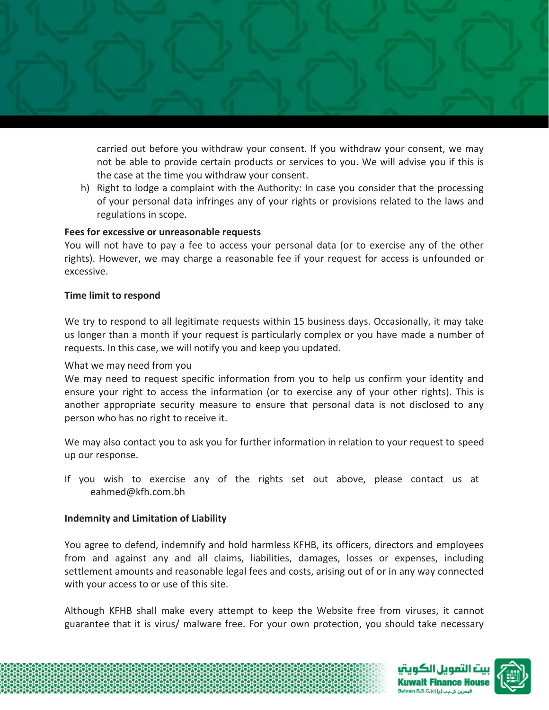

carried out before you withdraw your consent. If you withdraw your consent, we may not be able to provide certain products or services to you. We will advise you if this is the case at the time you withdraw your consent.

h) Right to lodge a complaint with the Authority: In case you consider that the processing of your personal data infringes any of your rights or provisions related to the laws and regulations in scope.

#### **Fees for excessive or unreasonable requests**

You will not have to pay a fee to access your personal data (or to exercise any of the other rights). However, we may charge a reasonable fee if your request for access is unfounded or excessive.

#### **Time limit to respond**

We try to respond to all legitimate requests within 15 business days. Occasionally, it may take us longer than a month if your request is particularly complex or you have made a number of requests. In this case, we will notify you and keep you updated.

#### What we may need from you

We may need to request specific information from you to help us confirm your identity and ensure your right to access the information (or to exercise any of your other rights). This is another appropriate security measure to ensure that personal data is not disclosed to any person who has no right to receive it.

We may also contact you to ask you for further information in relation to your request to speed up our response.

If you wish to exercise any of the rights set out above, please contact us at eahmed@kfh.com.bh

#### **Indemnity and Limitation of Liability**

You agree to defend, indemnify and hold harmless KFHB, its officers, directors and employees from and against any and all claims, liabilities, damages, losses or expenses, including settlement amounts and reasonable legal fees and costs, arising out of or in any way connected with your access to or use of this site.

Although KFHB shall make every attempt to keep the Website free from viruses, it cannot guarantee that it is virus/ malware free. For your own protection, you should take necessary